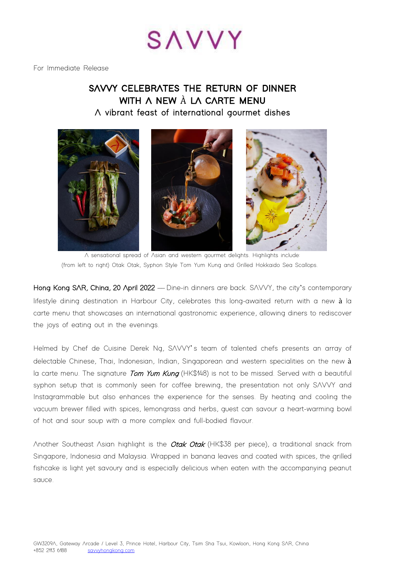

For Immediate Release

## **SAVVY CELEBRATES THE RETURN OF DINNER WITH A NEW** À **LA CARTE MENU A vibrant feast of international gourmet dishes**



A sensational spread of Asian and western gourmet delights. Highlights include: (from left to right) Otak Otak, Syphon Style Tom Yum Kung and Grilled Hokkaido Sea Scallops.

Hong Kong SAR, China, 20 April 2022 - Dine-in dinners are back. SAVVY, the city's contemporary lifestyle dining destination in Harbour City, celebrates this long-awaited return with a new à la carte menu that showcases an international gastronomic experience, allowing diners to rediscover the joys of eating out in the evenings.

Helmed by Chef de Cuisine Derek Ng, SAVVY's team of talented chefs presents an array of delectable Chinese, Thai, Indonesian, Indian, Singaporean and western specialities on the new à la carte menu. The signature Tom Yum Kung (HK\$148) is not to be missed. Served with a beautiful syphon setup that is commonly seen for coffee brewing, the presentation not only SAVVY and Instagrammable but also enhances the experience for the senses. By heating and cooling the vacuum brewer filled with spices, lemongrass and herbs, guest can savour a heart-warming bowl of hot and sour soup with a more complex and full-bodied flavour.

Another Southeast Asian highlight is the *Otak Otak* (HK\$38 per piece), a traditional snack from Singapore, Indonesia and Malaysia. Wrapped in banana leaves and coated with spices, the grilled fishcake is light yet savoury and is especially delicious when eaten with the accompanying peanut sauce.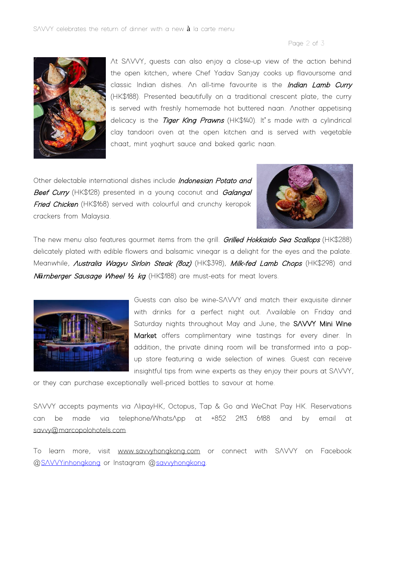## Page 2 of 3



At SAVVY, guests can also enjoy a close-up view of the action behind the open kitchen, where Chef Yadav Sanjay cooks up flavoursome and classic Indian dishes. An all-time favourite is the Indian Lamb Curry (HK\$188). Presented beautifully on a traditional crescent plate, the curry is served with freshly homemade hot buttered naan. Another appetising delicacy is the *Tiger King Prawns* (HK\$140). It's made with a cylindrical clay tandoori oven at the open kitchen and is served with vegetable chaat, mint yoghurt sauce and baked garlic naan.

Other delectable international dishes include Indonesian Potato and Beef Curry (HK\$128) presented in a young coconut and Galangal Fried Chicken (HK\$168) served with colourful and crunchy keropok crackers from Malaysia.



The new menu also features gourmet items from the grill. Grilled Hokkaido Sea Scallops (HK\$288) delicately plated with edible flowers and balsamic vinegar is a delight for the eyes and the palate. Meanwhile, *Australia Wagyu Sirloin Steak (8oz)* (HK\$398), Milk-fed Lamb Chops (HK\$298) and <sup>N</sup>*ü*rnberger Sausage Wheel *½* kg (HK\$188) are must-eats for meat lovers.



Guests can also be wine-SAVVY and match their exquisite dinner with drinks for a perfect night out. Available on Friday and Saturday nights throughout May and June, the SAVVY Mini Wine Market offers complimentary wine tastings for every diner. In addition, the private dining room will be transformed into a popup store featuring a wide selection of wines. Guest can receive insightful tips from wine experts as they enjoy their pours at SAVVY,

or they can purchase exceptionally well-priced bottles to savour at home.

SAVVY accepts payments via AlipayHK, Octopus, Tap & Go and WeChat Pay HK. Reservations can be made via telephone/WhatsApp at +852 2113 6188 and by email at [savvy@marcopolohotels.com.](mailto:savvy@marcopolohotels.com)

To learn more, visit [www.savvyhongkong.com](http://www.savvyhongkong.com/) or connect with SAVVY on Facebook [@SAVVYinhongkong](https://www.facebook.com/SAVVYinhongkong) or Instagram [@savvyhongkong.](https://www.instagram.com/savvyhongkong/)